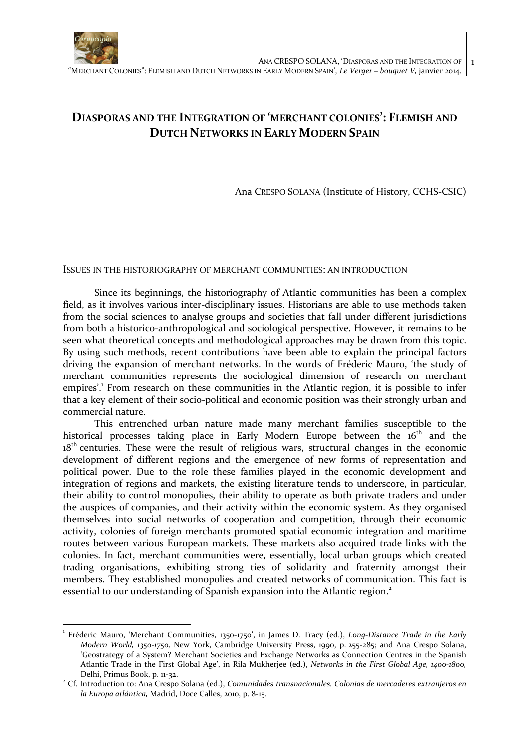

# **DIASPORAS AND THE INTEGRATION OF 'MERCHANT COLONIES': FLEMISH AND DUTCH NETWORKS IN EARLY MODERN SPAIN**

Ana CRESPO SOLANA (Institute of History, CCHS-CSIC)

#### ISSUES IN THE HISTORIOGRAPHY OF MERCHANT COMMUNITIES: AN INTRODUCTION

Since its beginnings, the historiography of Atlantic communities has been a complex field, as it involves various inter-disciplinary issues. Historians are able to use methods taken from the social sciences to analyse groups and societies that fall under different jurisdictions from both a historico-anthropological and sociological perspective. However, it remains to be seen what theoretical concepts and methodological approaches may be drawn from this topic. By using such methods, recent contributions have been able to explain the principal factors driving the expansion of merchant networks. In the words of Fréderic Mauro, 'the study of merchant communities represents the sociological dimension of research on merchant empires'.<sup>1</sup> From research on these communities in the Atlantic region, it is possible to infer that a key element of their socio-political and economic position was their strongly urban and commercial nature.

This entrenched urban nature made many merchant families susceptible to the historical processes taking place in Early Modern Europe between the 16<sup>th</sup> and the 18<sup>th</sup> centuries. These were the result of religious wars, structural changes in the economic development of different regions and the emergence of new forms of representation and political power. Due to the role these families played in the economic development and integration of regions and markets, the existing literature tends to underscore, in particular, their ability to control monopolies, their ability to operate as both private traders and under the auspices of companies, and their activity within the economic system. As they organised themselves into social networks of cooperation and competition, through their economic activity, colonies of foreign merchants promoted spatial economic integration and maritime routes between various European markets. These markets also acquired trade links with the colonies. In fact, merchant communities were, essentially, local urban groups which created trading organisations, exhibiting strong ties of solidarity and fraternity amongst their members. They established monopolies and created networks of communication. This fact is essential to our understanding of Spanish expansion into the Atlantic region.<sup>2</sup>

<sup>1</sup> Fréderic Mauro, 'Merchant Communities, 1350-1750', in James D. Tracy (ed.), *Long-Distance Trade in the Early Modern World, 1350-1750,* New York, Cambridge University Press, 1990, p. 255-285; and Ana Crespo Solana, 'Geostrategy of a System? Merchant Societies and Exchange Networks as Connection Centres in the Spanish Atlantic Trade in the First Global Age', in Rila Mukherjee (ed.), *Networks in the First Global Age, 1400-1800,* Delhi, Primus Book, p. 11-32.

<sup>2</sup> Cf. Introduction to: Ana Crespo Solana (ed.), *Comunidades transnacionales. Colonias de mercaderes extranjeros en la Europa atlántica,* Madrid, Doce Calles, 2010, p. 8-15.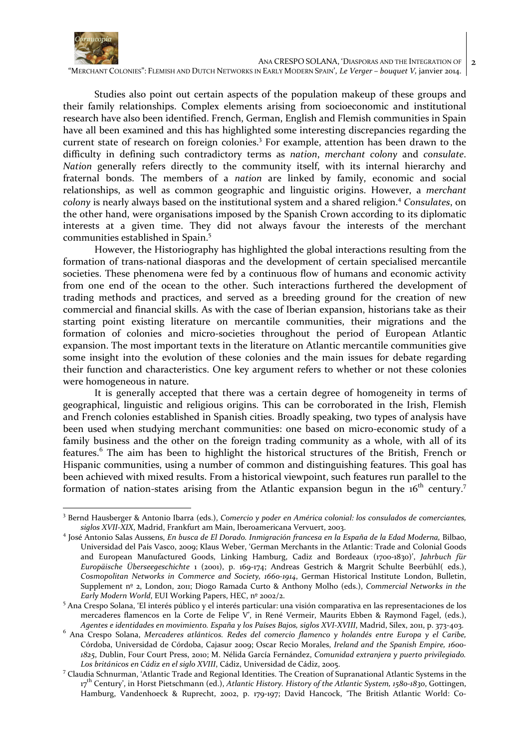

 ANA CRESPO SOLANA, 'DIASPORAS AND THE INTEGRATION OF "MERCHANT COLONIES": FLEMISH AND DUTCH NETWORKS IN EARLY MODERN SPAIN', *Le Verger – bouquet V,* janvier 2014.

Studies also point out certain aspects of the population makeup of these groups and their family relationships. Complex elements arising from socioeconomic and institutional research have also been identified. French, German, English and Flemish communities in Spain have all been examined and this has highlighted some interesting discrepancies regarding the current state of research on foreign colonies.<sup>3</sup> For example, attention has been drawn to the difficulty in defining such contradictory terms as *nation*, *merchant colony* and *consulate*. *Nation* generally refers directly to the community itself, with its internal hierarchy and fraternal bonds. The members of a *nation* are linked by family, economic and social relationships, as well as common geographic and linguistic origins. However, a *merchant colony* is nearly always based on the institutional system and a shared religion.<sup>4</sup> *Consulates*, on the other hand, were organisations imposed by the Spanish Crown according to its diplomatic interests at a given time. They did not always favour the interests of the merchant communities established in Spain.<sup>5</sup>

However, the Historiography has highlighted the global interactions resulting from the formation of trans-national diasporas and the development of certain specialised mercantile societies. These phenomena were fed by a continuous flow of humans and economic activity from one end of the ocean to the other. Such interactions furthered the development of trading methods and practices, and served as a breeding ground for the creation of new commercial and financial skills. As with the case of Iberian expansion, historians take as their starting point existing literature on mercantile communities, their migrations and the formation of colonies and micro-societies throughout the period of European Atlantic expansion. The most important texts in the literature on Atlantic mercantile communities give some insight into the evolution of these colonies and the main issues for debate regarding their function and characteristics. One key argument refers to whether or not these colonies were homogeneous in nature.

It is generally accepted that there was a certain degree of homogeneity in terms of geographical, linguistic and religious origins. This can be corroborated in the Irish, Flemish and French colonies established in Spanish cities. Broadly speaking, two types of analysis have been used when studying merchant communities: one based on micro-economic study of a family business and the other on the foreign trading community as a whole, with all of its features.<sup>6</sup> The aim has been to highlight the historical structures of the British, French or Hispanic communities, using a number of common and distinguishing features. This goal has been achieved with mixed results. From a historical viewpoint, such features run parallel to the formation of nation-states arising from the Atlantic expansion begun in the  $16<sup>th</sup>$  century.<sup>7</sup>

<sup>3</sup> Bernd Hausberger & Antonio Ibarra (eds.), *Comercio y poder en América colonial: los consulados de comerciantes, siglos XVII-XIX*, Madrid, Frankfurt am Main, Iberoamericana Vervuert, 2003.

<sup>4</sup> José Antonio Salas Aussens, *En busca de El Dorado. Inmigración francesa en la España de la Edad Moderna,* Bilbao, Universidad del País Vasco, 2009; Klaus Weber, 'German Merchants in the Atlantic: Trade and Colonial Goods and European Manufactured Goods, Linking Hamburg, Cadiz and Bordeaux (1700-1830)', *Jahrbuch für Europäische Überseegeschichte* 1 (2001), p. 169-174; Andreas Gestrich & Margrit Schulte Beerbühl( eds.), *Cosmopolitan Networks in Commerce and Society, 1660-1914*, German Historical Institute London, Bulletin, Supplement nº 2, London, 2011; Diogo Ramada Curto & Anthony Molho (eds.), *Commercial Networks in the Early Modern World*, EUI Working Papers, HEC, nº 2002/2.

<sup>&</sup>lt;sup>5</sup> Ana Crespo Solana, 'El interés público y el interés particular: una visión comparativa en las representaciones de los mercaderes flamencos en la Corte de Felipe V', in René Vermeir, Maurits Ebben & Raymond Fagel, (eds.), *Agentes e identidades en movimiento. España y los Países Bajos, siglos XVI-XVIII*, Madrid, Sílex, 2011, p. 373-403.

<sup>6</sup> Ana Crespo Solana, *Mercaderes atlánticos. Redes del comercio flamenco y holandés entre Europa y el Caribe,* Córdoba, Universidad de Córdoba, Cajasur 2009; Oscar Recio Morales, *Ireland and the Spanish Empire, 1600- 1825*, Dublin, Four Court Press, 2010; M. Nélida García Fernández, *Comunidad extranjera y puerto privilegiado. Los británicos en Cádiz en el siglo XVIII*, Cádiz, Universidad de Cádiz, 2005.

<sup>&</sup>lt;sup>7</sup> Claudia Schnurman, 'Atlantic Trade and Regional Identities. The Creation of Supranational Atlantic Systems in the 17 th Century', in Horst Pietschmann (ed.), *Atlantic History. History of the Atlantic System, 1580-1830*, Gottingen, Hamburg, Vandenhoeck & Ruprecht, 2002, p. 179-197; David Hancock, 'The British Atlantic World: Co-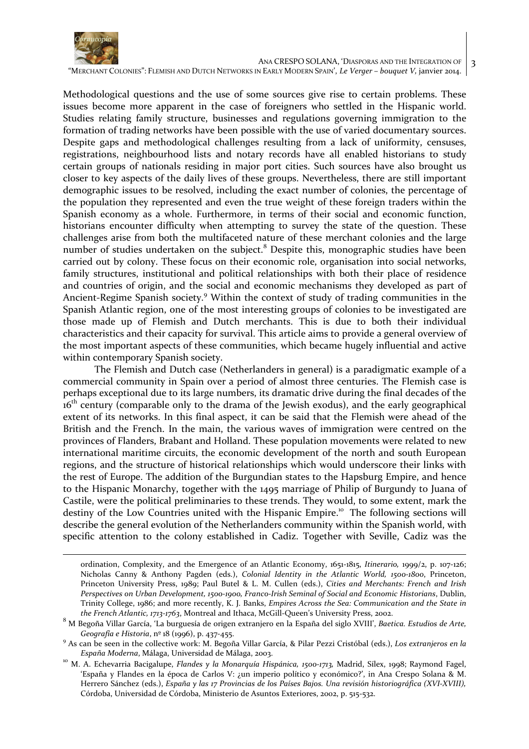

ANA CRESPO SOLANA, 'DIASPORAS AND THE INTEGRATION OF

3

"MERCHANT COLONIES": FLEMISH AND DUTCH NETWORKS IN EARLY MODERN SPAIN', *Le Verger – bouquet V,* janvier 2014.

Methodological questions and the use of some sources give rise to certain problems. These issues become more apparent in the case of foreigners who settled in the Hispanic world. Studies relating family structure, businesses and regulations governing immigration to the formation of trading networks have been possible with the use of varied documentary sources. Despite gaps and methodological challenges resulting from a lack of uniformity, censuses, registrations, neighbourhood lists and notary records have all enabled historians to study certain groups of nationals residing in major port cities. Such sources have also brought us closer to key aspects of the daily lives of these groups. Nevertheless, there are still important demographic issues to be resolved, including the exact number of colonies, the percentage of the population they represented and even the true weight of these foreign traders within the Spanish economy as a whole. Furthermore, in terms of their social and economic function, historians encounter difficulty when attempting to survey the state of the question. These challenges arise from both the multifaceted nature of these merchant colonies and the large number of studies undertaken on the subject.<sup>8</sup> Despite this, monographic studies have been carried out by colony. These focus on their economic role, organisation into social networks, family structures, institutional and political relationships with both their place of residence and countries of origin, and the social and economic mechanisms they developed as part of Ancient-Regime Spanish society.<sup>9</sup> Within the context of study of trading communities in the Spanish Atlantic region, one of the most interesting groups of colonies to be investigated are those made up of Flemish and Dutch merchants. This is due to both their individual characteristics and their capacity for survival. This article aims to provide a general overview of the most important aspects of these communities, which became hugely influential and active within contemporary Spanish society.

The Flemish and Dutch case (Netherlanders in general) is a paradigmatic example of a commercial community in Spain over a period of almost three centuries. The Flemish case is perhaps exceptional due to its large numbers, its dramatic drive during the final decades of the 16<sup>th</sup> century (comparable only to the drama of the Jewish exodus), and the early geographical extent of its networks. In this final aspect, it can be said that the Flemish were ahead of the British and the French. In the main, the various waves of immigration were centred on the provinces of Flanders, Brabant and Holland. These population movements were related to new international maritime circuits, the economic development of the north and south European regions, and the structure of historical relationships which would underscore their links with the rest of Europe. The addition of the Burgundian states to the Hapsburg Empire, and hence to the Hispanic Monarchy, together with the 1495 marriage of Philip of Burgundy to Juana of Castile, were the political preliminaries to these trends. They would, to some extent, mark the destiny of the Low Countries united with the Hispanic Empire.<sup>10</sup> The following sections will describe the general evolution of the Netherlanders community within the Spanish world, with specific attention to the colony established in Cadiz. Together with Seville, Cadiz was the

ordination, Complexity, and the Emergence of an Atlantic Economy, 1651-1815, *Itinerario,* 1999/2, p. 107-126; Nicholas Canny & Anthony Pagden (eds.), *Colonial Identity in the Atlantic World, 1500-1800*, Princeton, Princeton University Press, 1989; Paul Butel & L. M. Cullen (eds.), *Cities and Merchants: French and Irish Perspectives on Urban Development, 1500-1900, Franco-Irish Seminal of Social and Economic Historians*, Dublin, Trinity College, 1986; and more recently, K. J. Banks, *Empires Across the Sea: Communication and the State in the French Atlantic, 1713-1763*, Montreal and Ithaca, McGill-Queen's University Press, 2002.

<sup>8</sup> M Begoña Villar García, 'La burguesía de origen extranjero en la España del siglo XVIII', *Baetica. Estudios de Arte, Geografía e Historia*, nº 18 (1996), p. 437-455.

<sup>9</sup> As can be seen in the collective work: M. Begoña Villar García, & Pilar Pezzi Cristóbal (eds.), *Los extranjeros en la España Moderna*, Málaga, Universidad de Málaga, 2003.

<sup>&</sup>lt;sup>10</sup> M. A. Echevarria Bacigalupe, *Flandes y la Monarquía Hispánica*, 1500-1713, Madrid, Sílex, 1998; Raymond Fagel, 'España y Flandes en la época de Carlos V: ¿un imperio político y económico?', in Ana Crespo Solana & M. Herrero Sánchez (eds.), *España y las 17 Provincias de los Países Bajos. Una revisión historiográfica (XVI-XVIII),*  Córdoba, Universidad de Córdoba, Ministerio de Asuntos Exteriores, 2002, p. 515-532.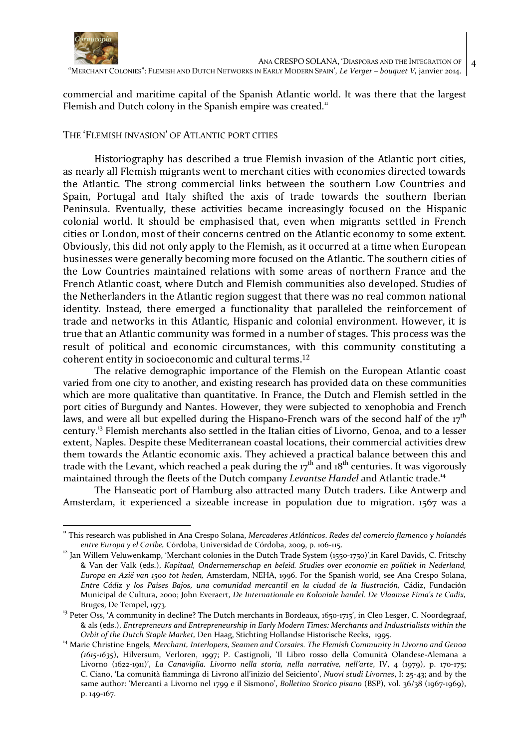

 ANA CRESPO SOLANA, 'DIASPORAS AND THE INTEGRATION OF "MERCHANT COLONIES": FLEMISH AND DUTCH NETWORKS IN EARLY MODERN SPAIN', *Le Verger – bouquet V,* janvier 2014.

4

commercial and maritime capital of the Spanish Atlantic world. It was there that the largest Flemish and Dutch colony in the Spanish empire was created.<sup>11</sup>

### THE 'FLEMISH INVASION' OF ATLANTIC PORT CITIES

Historiography has described a true Flemish invasion of the Atlantic port cities, as nearly all Flemish migrants went to merchant cities with economies directed towards the Atlantic. The strong commercial links between the southern Low Countries and Spain, Portugal and Italy shifted the axis of trade towards the southern Iberian Peninsula. Eventually, these activities became increasingly focused on the Hispanic colonial world. It should be emphasised that, even when migrants settled in French cities or London, most of their concerns centred on the Atlantic economy to some extent. Obviously, this did not only apply to the Flemish, as it occurred at a time when European businesses were generally becoming more focused on the Atlantic. The southern cities of the Low Countries maintained relations with some areas of northern France and the French Atlantic coast, where Dutch and Flemish communities also developed. Studies of the Netherlanders in the Atlantic region suggest that there was no real common national identity. Instead, there emerged a functionality that paralleled the reinforcement of trade and networks in this Atlantic, Hispanic and colonial environment. However, it is true that an Atlantic community was formed in a number of stages. This process was the result of political and economic circumstances, with this community constituting a coherent entity in socioeconomic and cultural terms. 12

The relative demographic importance of the Flemish on the European Atlantic coast varied from one city to another, and existing research has provided data on these communities which are more qualitative than quantitative. In France, the Dutch and Flemish settled in the port cities of Burgundy and Nantes. However, they were subjected to xenophobia and French laws, and were all but expelled during the Hispano-French wars of the second half of the  $17<sup>th</sup>$ century.<sup>13</sup> Flemish merchants also settled in the Italian cities of Livorno, Genoa, and to a lesser extent, Naples. Despite these Mediterranean coastal locations, their commercial activities drew them towards the Atlantic economic axis. They achieved a practical balance between this and trade with the Levant, which reached a peak during the  $17<sup>th</sup>$  and  $18<sup>th</sup>$  centuries. It was vigorously maintained through the fleets of the Dutch company *Levantse Handel* and Atlantic trade.<sup>14</sup>

The Hanseatic port of Hamburg also attracted many Dutch traders. Like Antwerp and Amsterdam, it experienced a sizeable increase in population due to migration. 1567 was a

<sup>11</sup> This research was published in Ana Crespo Solana, *Mercaderes Atlánticos*. *Redes del comercio flamenco y holandés entre Europa y el Caribe,* Córdoba, Universidad de Córdoba, 2009, p. 106-115.

<sup>&</sup>lt;sup>12</sup> Jan Willem Veluwenkamp, 'Merchant colonies in the Dutch Trade System (1550-1750)', in Karel Davids, C. Fritschy & Van der Valk (eds.), *Kapitaal, Ondernemerschap en beleid. Studies over economie en politiek in Nederland, Europa en Azië van 1500 tot heden,* Amsterdam, NEHA, 1996. For the Spanish world, see Ana Crespo Solana, *Entre Cádiz y los Países Bajos, una comunidad mercantil en la ciudad de la Ilustración,* Cádiz, Fundación Municipal de Cultura, 2000; John Everaert, *De Internationale en Koloniale handel. De Vlaamse Fima's te Cadix,* Bruges, De Tempel, 1973.

<sup>&</sup>lt;sup>13</sup> Peter Oss, 'A community in decline? The Dutch merchants in Bordeaux, 1650-1715', in Cleo Lesger, C. Noordegraaf, & als (eds.), *Entrepreneurs and Entrepreneurship in Early Modern Times: Merchants and Industrialists within the Orbit of the Dutch Staple Market,* Den Haag, Stichting Hollandse Historische Reeks, 1995.

<sup>14</sup> Marie Christine Engels, *Merchant, Interlopers, Seamen and Corsairs. The Flemish Community in Livorno and Genoa (1615-1635*), Hilversum, Verloren, 1997; P. Castignoli, 'Il Libro rosso della Comunità Olandese-Alemana a Livorno (1622-1911)', *La Canaviglia. Livorno nella storia, nella narrative, nell'arte*, IV, 4 (1979), p. 170-175; C. Ciano, 'La comunità fiamminga di Livrono all'inizio del Seiciento', *Nuovi studi Livornes*, I: 25-43; and by the same author: 'Mercanti a Livorno nel 1799 e il Sismono', *Bolletino Storico pisano* (BSP), vol. 36/38 (1967-1969), p. 149-167.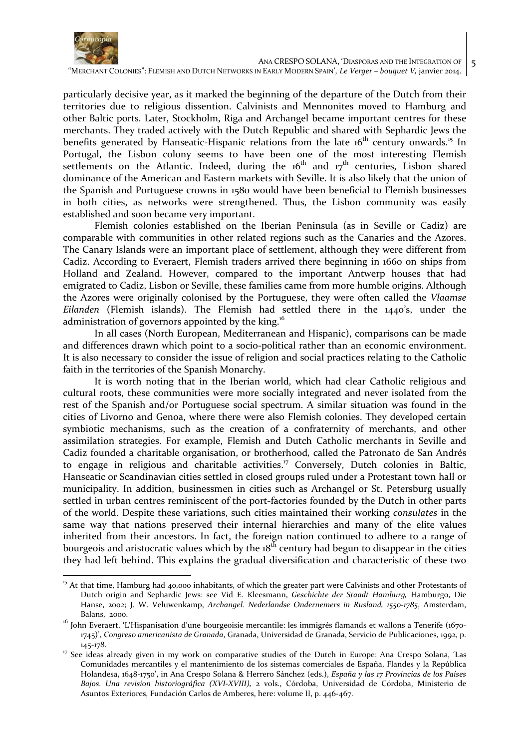

5

"MERCHANT COLONIES": FLEMISH AND DUTCH NETWORKS IN EARLY MODERN SPAIN', *Le Verger – bouquet V,* janvier 2014.

particularly decisive year, as it marked the beginning of the departure of the Dutch from their territories due to religious dissention. Calvinists and Mennonites moved to Hamburg and other Baltic ports. Later, Stockholm, Riga and Archangel became important centres for these merchants. They traded actively with the Dutch Republic and shared with Sephardic Jews the benefits generated by Hanseatic-Hispanic relations from the late  $16<sup>th</sup>$  century onwards.<sup>15</sup> In Portugal, the Lisbon colony seems to have been one of the most interesting Flemish settlements on the Atlantic. Indeed, during the  $16<sup>th</sup>$  and  $17<sup>th</sup>$  centuries, Lisbon shared dominance of the American and Eastern markets with Seville. It is also likely that the union of the Spanish and Portuguese crowns in 1580 would have been beneficial to Flemish businesses in both cities, as networks were strengthened. Thus, the Lisbon community was easily established and soon became very important.

Flemish colonies established on the Iberian Peninsula (as in Seville or Cadiz) are comparable with communities in other related regions such as the Canaries and the Azores. The Canary Islands were an important place of settlement, although they were different from Cadiz. According to Everaert, Flemish traders arrived there beginning in 1660 on ships from Holland and Zealand. However, compared to the important Antwerp houses that had emigrated to Cadiz, Lisbon or Seville, these families came from more humble origins. Although the Azores were originally colonised by the Portuguese, they were often called the *Vlaamse Eilanden* (Flemish islands). The Flemish had settled there in the 1440's, under the administration of governors appointed by the king.<sup>16</sup>

In all cases (North European, Mediterranean and Hispanic), comparisons can be made and differences drawn which point to a socio-political rather than an economic environment. It is also necessary to consider the issue of religion and social practices relating to the Catholic faith in the territories of the Spanish Monarchy.

It is worth noting that in the Iberian world, which had clear Catholic religious and cultural roots, these communities were more socially integrated and never isolated from the rest of the Spanish and/or Portuguese social spectrum. A similar situation was found in the cities of Livorno and Genoa, where there were also Flemish colonies. They developed certain symbiotic mechanisms, such as the creation of a confraternity of merchants, and other assimilation strategies. For example, Flemish and Dutch Catholic merchants in Seville and Cadiz founded a charitable organisation, or brotherhood*,* called the Patronato de San Andrés to engage in religious and charitable activities.<sup>17</sup> Conversely, Dutch colonies in Baltic, Hanseatic or Scandinavian cities settled in closed groups ruled under a Protestant town hall or municipality. In addition, businessmen in cities such as Archangel or St. Petersburg usually settled in urban centres reminiscent of the port-factories founded by the Dutch in other parts of the world. Despite these variations, such cities maintained their working *consulates* in the same way that nations preserved their internal hierarchies and many of the elite values inherited from their ancestors. In fact, the foreign nation continued to adhere to a range of bourgeois and aristocratic values which by the  $18<sup>th</sup>$  century had begun to disappear in the cities they had left behind. This explains the gradual diversification and characteristic of these two

 $\overline{a}$ <sup>15</sup> At that time, Hamburg had 40,000 inhabitants, of which the greater part were Calvinists and other Protestants of Dutch origin and Sephardic Jews: see Vid E. Kleesmann, *Geschichte der Staadt Hamburg,* Hamburgo, Die Hanse, 2002; J. W. Veluwenkamp, *Archangel. Nederlandse Ondernemers in Rusland, 1550-1785*, Amsterdam, Balans, 2000.

<sup>&</sup>lt;sup>16</sup> John Everaert, 'L'Hispanisation d'une bourgeoisie mercantile: les immigrés flamands et wallons a Tenerife (1670-1745)', *Congreso americanista de Granada*, Granada, Universidad de Granada, Servicio de Publicaciones, 1992, p. 145-178.

<sup>&</sup>lt;sup>17</sup> See ideas already given in my work on comparative studies of the Dutch in Europe: Ana Crespo Solana, 'Las Comunidades mercantiles y el mantenimiento de los sistemas comerciales de España, Flandes y la República Holandesa, 1648-1750', in Ana Crespo Solana & Herrero Sánchez (eds.), *España y las 17 Provincias de los Países Bajos. Una revision historiográfica (XVI-XVIII),* 2 vols., Córdoba, Universidad de Córdoba, Ministerio de Asuntos Exteriores, Fundación Carlos de Amberes, here: volume II, p. 446-467.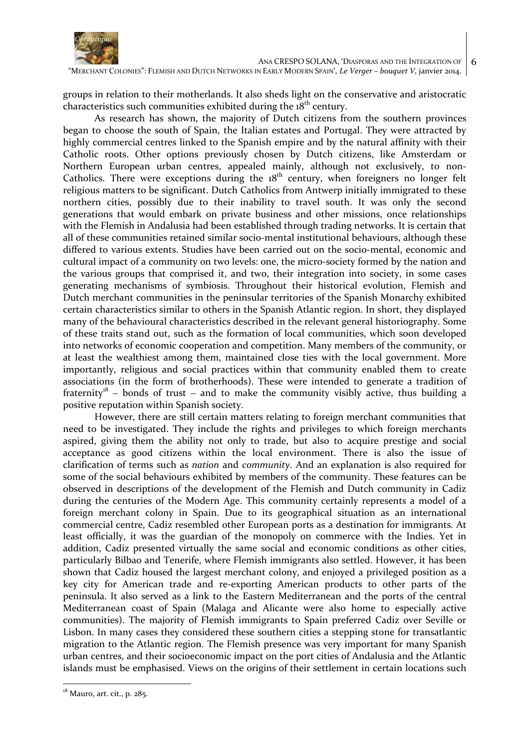

"MERCHANT COLONIES": FLEMISH AND DUTCH NETWORKS IN EARLY MODERN SPAIN', *Le Verger – bouquet V,* janvier 2014.

groups in relation to their motherlands. It also sheds light on the conservative and aristocratic characteristics such communities exhibited during the 18<sup>th</sup> century.

As research has shown, the majority of Dutch citizens from the southern provinces began to choose the south of Spain, the Italian estates and Portugal. They were attracted by highly commercial centres linked to the Spanish empire and by the natural affinity with their Catholic roots. Other options previously chosen by Dutch citizens, like Amsterdam or Northern European urban centres, appealed mainly, although not exclusively, to non-Catholics. There were exceptions during the  $18<sup>th</sup>$  century, when foreigners no longer felt religious matters to be significant. Dutch Catholics from Antwerp initially immigrated to these northern cities, possibly due to their inability to travel south. It was only the second generations that would embark on private business and other missions, once relationships with the Flemish in Andalusia had been established through trading networks. It is certain that all of these communities retained similar socio-mental institutional behaviours, although these differed to various extents. Studies have been carried out on the socio-mental, economic and cultural impact of a community on two levels: one, the micro-society formed by the nation and the various groups that comprised it, and two, their integration into society, in some cases generating mechanisms of symbiosis. Throughout their historical evolution, Flemish and Dutch merchant communities in the peninsular territories of the Spanish Monarchy exhibited certain characteristics similar to others in the Spanish Atlantic region. In short, they displayed many of the behavioural characteristics described in the relevant general historiography. Some of these traits stand out, such as the formation of local communities, which soon developed into networks of economic cooperation and competition. Many members of the community, or at least the wealthiest among them, maintained close ties with the local government. More importantly, religious and social practices within that community enabled them to create associations (in the form of brotherhoods). These were intended to generate a tradition of fraternity<sup>18</sup> – bonds of trust – and to make the community visibly active, thus building a positive reputation within Spanish society.

However, there are still certain matters relating to foreign merchant communities that need to be investigated. They include the rights and privileges to which foreign merchants aspired, giving them the ability not only to trade, but also to acquire prestige and social acceptance as good citizens within the local environment. There is also the issue of clarification of terms such as *nation* and *community*. And an explanation is also required for some of the social behaviours exhibited by members of the community. These features can be observed in descriptions of the development of the Flemish and Dutch community in Cadiz during the centuries of the Modern Age. This community certainly represents a model of a foreign merchant colony in Spain. Due to its geographical situation as an international commercial centre, Cadiz resembled other European ports as a destination for immigrants. At least officially, it was the guardian of the monopoly on commerce with the Indies. Yet in addition, Cadiz presented virtually the same social and economic conditions as other cities, particularly Bilbao and Tenerife, where Flemish immigrants also settled. However, it has been shown that Cadiz housed the largest merchant colony, and enjoyed a privileged position as a key city for American trade and re-exporting American products to other parts of the peninsula. It also served as a link to the Eastern Mediterranean and the ports of the central Mediterranean coast of Spain (Malaga and Alicante were also home to especially active communities). The majority of Flemish immigrants to Spain preferred Cadiz over Seville or Lisbon. In many cases they considered these southern cities a stepping stone for transatlantic migration to the Atlantic region. The Flemish presence was very important for many Spanish urban centres, and their socioeconomic impact on the port cities of Andalusia and the Atlantic islands must be emphasised. Views on the origins of their settlement in certain locations such

 $\overline{a}$ 

 $1^8$  Mauro, art. cit., p. 285.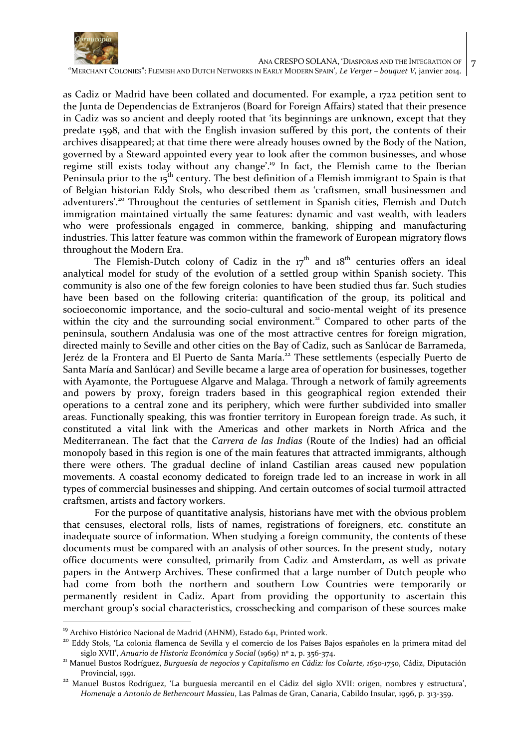

7

"MERCHANT COLONIES": FLEMISH AND DUTCH NETWORKS IN EARLY MODERN SPAIN', *Le Verger – bouquet V,* janvier 2014.

as Cadiz or Madrid have been collated and documented. For example, a 1722 petition sent to the Junta de Dependencias de Extranjeros (Board for Foreign Affairs) stated that their presence in Cadiz was so ancient and deeply rooted that 'its beginnings are unknown, except that they predate 1598, and that with the English invasion suffered by this port, the contents of their archives disappeared; at that time there were already houses owned by the Body of the Nation, governed by a Steward appointed every year to look after the common businesses, and whose regime still exists today without any change'.<sup>19</sup> In fact, the Flemish came to the Iberian Peninsula prior to the  $15<sup>th</sup>$  century. The best definition of a Flemish immigrant to Spain is that of Belgian historian Eddy Stols, who described them as 'craftsmen, small businessmen and adventurers'.<sup>20</sup> Throughout the centuries of settlement in Spanish cities, Flemish and Dutch immigration maintained virtually the same features: dynamic and vast wealth, with leaders who were professionals engaged in commerce, banking, shipping and manufacturing industries. This latter feature was common within the framework of European migratory flows throughout the Modern Era.

The Flemish-Dutch colony of Cadiz in the  $17<sup>th</sup>$  and  $18<sup>th</sup>$  centuries offers an ideal analytical model for study of the evolution of a settled group within Spanish society. This community is also one of the few foreign colonies to have been studied thus far. Such studies have been based on the following criteria: quantification of the group, its political and socioeconomic importance, and the socio-cultural and socio-mental weight of its presence within the city and the surrounding social environment.<sup>21</sup> Compared to other parts of the peninsula, southern Andalusia was one of the most attractive centres for foreign migration, directed mainly to Seville and other cities on the Bay of Cadiz, such as Sanlúcar de Barrameda, Jeréz de la Frontera and El Puerto de Santa María.<sup>22</sup> These settlements (especially Puerto de Santa María and Sanlúcar) and Seville became a large area of operation for businesses, together with Ayamonte, the Portuguese Algarve and Malaga. Through a network of family agreements and powers by proxy, foreign traders based in this geographical region extended their operations to a central zone and its periphery, which were further subdivided into smaller areas. Functionally speaking, this was frontier territory in European foreign trade. As such, it constituted a vital link with the Americas and other markets in North Africa and the Mediterranean. The fact that the *Carrera de las Indias* (Route of the Indies) had an official monopoly based in this region is one of the main features that attracted immigrants, although there were others. The gradual decline of inland Castilian areas caused new population movements. A coastal economy dedicated to foreign trade led to an increase in work in all types of commercial businesses and shipping. And certain outcomes of social turmoil attracted craftsmen, artists and factory workers.

For the purpose of quantitative analysis, historians have met with the obvious problem that censuses, electoral rolls, lists of names, registrations of foreigners, etc. constitute an inadequate source of information. When studying a foreign community, the contents of these documents must be compared with an analysis of other sources. In the present study, notary office documents were consulted, primarily from Cadiz and Amsterdam, as well as private papers in the Antwerp Archives. These confirmed that a large number of Dutch people who had come from both the northern and southern Low Countries were temporarily or permanently resident in Cadiz. Apart from providing the opportunity to ascertain this merchant group's social characteristics, crosschecking and comparison of these sources make

<sup>&</sup>lt;sup>19</sup> Archivo Histórico Nacional de Madrid (AHNM), Estado 641, Printed work.

<sup>&</sup>lt;sup>20</sup> Eddy Stols, 'La colonia flamenca de Sevilla y el comercio de los Países Bajos españoles en la primera mitad del siglo XVII', *Anuario de Historia Económica y Social* (1969) nº 2, p. 356-374.

<sup>21</sup> Manuel Bustos Rodríguez, *Burguesía de negocios y Capitalismo en Cádiz: los Colarte, 1650-1750*, Cádiz, Diputación Provincial, 1991.

<sup>&</sup>lt;sup>22</sup> Manuel Bustos Rodríguez, 'La burguesía mercantil en el Cádiz del siglo XVII: origen, nombres y estructura', *Homenaje a Antonio de Bethencourt Massieu*, Las Palmas de Gran, Canaria, Cabildo Insular, 1996, p. 313-359.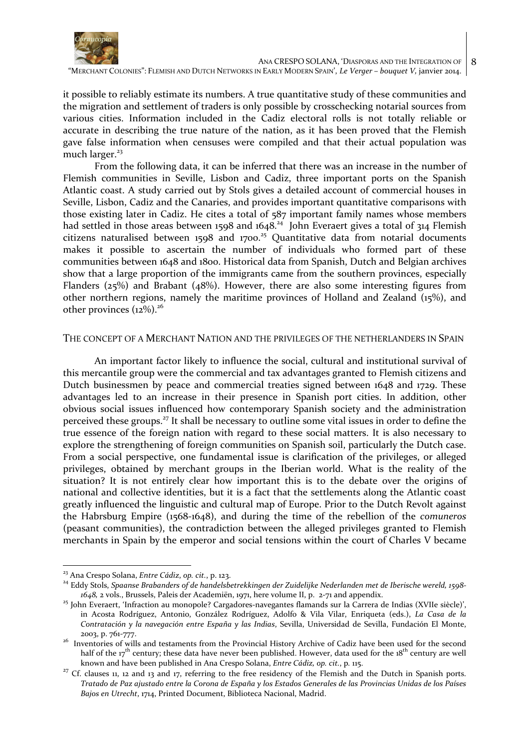

it possible to reliably estimate its numbers. A true quantitative study of these communities and the migration and settlement of traders is only possible by crosschecking notarial sources from various cities. Information included in the Cadiz electoral rolls is not totally reliable or accurate in describing the true nature of the nation, as it has been proved that the Flemish gave false information when censuses were compiled and that their actual population was much larger.<sup>23</sup>

From the following data, it can be inferred that there was an increase in the number of Flemish communities in Seville, Lisbon and Cadiz, three important ports on the Spanish Atlantic coast. A study carried out by Stols gives a detailed account of commercial houses in Seville, Lisbon, Cadiz and the Canaries, and provides important quantitative comparisons with those existing later in Cadiz. He cites a total of 587 important family names whose members had settled in those areas between 1598 and 1648.<sup>24</sup> John Everaert gives a total of 314 Flemish citizens naturalised between 1598 and 1700.<sup>25</sup> Quantitative data from notarial documents makes it possible to ascertain the number of individuals who formed part of these communities between 1648 and 1800. Historical data from Spanish, Dutch and Belgian archives show that a large proportion of the immigrants came from the southern provinces, especially Flanders ( $25\%$ ) and Brabant ( $48\%$ ). However, there are also some interesting figures from other northern regions, namely the maritime provinces of Holland and Zealand (15%), and other provinces  $(12\%)$ .<sup>26</sup>

## THE CONCEPT OF A MERCHANT NATION AND THE PRIVILEGES OF THE NETHERLANDERS IN SPAIN

An important factor likely to influence the social, cultural and institutional survival of this mercantile group were the commercial and tax advantages granted to Flemish citizens and Dutch businessmen by peace and commercial treaties signed between 1648 and 1729. These advantages led to an increase in their presence in Spanish port cities. In addition, other obvious social issues influenced how contemporary Spanish society and the administration perceived these groups.<sup>27</sup> It shall be necessary to outline some vital issues in order to define the true essence of the foreign nation with regard to these social matters. It is also necessary to explore the strengthening of foreign communities on Spanish soil, particularly the Dutch case. From a social perspective, one fundamental issue is clarification of the privileges, or alleged privileges, obtained by merchant groups in the Iberian world. What is the reality of the situation? It is not entirely clear how important this is to the debate over the origins of national and collective identities, but it is a fact that the settlements along the Atlantic coast greatly influenced the linguistic and cultural map of Europe. Prior to the Dutch Revolt against the Habrsburg Empire (1568-1648), and during the time of the rebellion of the *comuneros* (peasant communities), the contradiction between the alleged privileges granted to Flemish merchants in Spain by the emperor and social tensions within the court of Charles V became

 $\overline{a}$ 

<sup>23</sup> Ana Crespo Solana, *Entre Cádiz*, *op. cit.*, p. 123.

<sup>24</sup> Eddy Stols, *Spaanse Brabanders of de handelsbetrekkingen der Zuidelijke Nederlanden met de Iberische wereld, 1598- 1648,* 2 vols., Brussels, Paleis der Academiën, 1971, here volume II, p. 2-71 and appendix.

<sup>&</sup>lt;sup>25</sup> John Everaert, 'Infraction au monopole? Cargadores-navegantes flamands sur la Carrera de Indias (XVIIe siècle)', in Acosta Rodríguez, Antonio, González Rodríguez, Adolfo & Vila Vilar, Enriqueta (eds.), *La Casa de la Contratación y la navegación entre España y las Indias*, Sevilla, Universidad de Sevilla, Fundación El Monte, 2003, p. 761-777.

<sup>&</sup>lt;sup>26</sup> Inventories of wills and testaments from the Provincial History Archive of Cadiz have been used for the second half of the  $17<sup>th</sup>$  century; these data have never been published. However, data used for the  $18<sup>th</sup>$  century are well known and have been published in Ana Crespo Solana, *Entre Cádiz, op. cit.*, p*.* 115.

<sup>&</sup>lt;sup>27</sup> Cf. clauses 11, 12 and 13 and 17, referring to the free residency of the Flemish and the Dutch in Spanish ports. *Tratado de Paz ajustado entre la Corona de España y los Estados Generales de las Provincias Unidas de los Países Bajos en Utrecht*, 1714, Printed Document, Biblioteca Nacional, Madrid.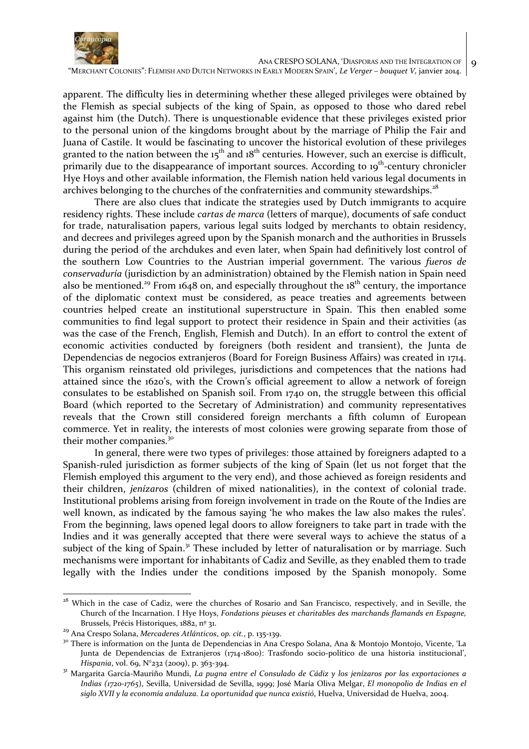

apparent. The difficulty lies in determining whether these alleged privileges were obtained by the Flemish as special subjects of the king of Spain, as opposed to those who dared rebel against him (the Dutch). There is unquestionable evidence that these privileges existed prior to the personal union of the kingdoms brought about by the marriage of Philip the Fair and Juana of Castile. It would be fascinating to uncover the historical evolution of these privileges granted to the nation between the  $15<sup>th</sup>$  and  $18<sup>th</sup>$  centuries. However, such an exercise is difficult, primarily due to the disappearance of important sources. According to 19<sup>th</sup>-century chronicler Hye Hoys and other available information, the Flemish nation held various legal documents in archives belonging to the churches of the confraternities and community stewardships.<sup>28</sup>

There are also clues that indicate the strategies used by Dutch immigrants to acquire residency rights. These include *cartas de marca* (letters of marque), documents of safe conduct for trade, naturalisation papers, various legal suits lodged by merchants to obtain residency, and decrees and privileges agreed upon by the Spanish monarch and the authorities in Brussels during the period of the archdukes and even later, when Spain had definitively lost control of the southern Low Countries to the Austrian imperial government. The various *fueros de conservaduría* (jurisdiction by an administration) obtained by the Flemish nation in Spain need also be mentioned.<sup>29</sup> From 1648 on, and especially throughout the 18<sup>th</sup> century, the importance of the diplomatic context must be considered, as peace treaties and agreements between countries helped create an institutional superstructure in Spain. This then enabled some communities to find legal support to protect their residence in Spain and their activities (as was the case of the French, English, Flemish and Dutch). In an effort to control the extent of economic activities conducted by foreigners (both resident and transient), the Junta de Dependencias de negocios extranjeros (Board for Foreign Business Affairs) was created in 1714. This organism reinstated old privileges, jurisdictions and competences that the nations had attained since the 1620's, with the Crown's official agreement to allow a network of foreign consulates to be established on Spanish soil. From 1740 on, the struggle between this official Board (which reported to the Secretary of Administration) and community representatives reveals that the Crown still considered foreign merchants a fifth column of European commerce. Yet in reality, the interests of most colonies were growing separate from those of their mother companies.<sup>30</sup>

In general, there were two types of privileges: those attained by foreigners adapted to a Spanish-ruled jurisdiction as former subjects of the king of Spain (let us not forget that the Flemish employed this argument to the very end), and those achieved as foreign residents and their children, *jenízaros* (children of mixed nationalities), in the context of colonial trade. Institutional problems arising from foreign involvement in trade on the Route of the Indies are well known, as indicated by the famous saying 'he who makes the law also makes the rules'*.* From the beginning, laws opened legal doors to allow foreigners to take part in trade with the Indies and it was generally accepted that there were several ways to achieve the status of a subject of the king of Spain.<sup>31</sup> These included by letter of naturalisation or by marriage. Such mechanisms were important for inhabitants of Cadiz and Seville, as they enabled them to trade legally with the Indies under the conditions imposed by the Spanish monopoly. Some

 $\overline{a}$ <sup>28</sup> Which in the case of Cadiz, were the churches of Rosario and San Francisco, respectively, and in Seville, the Church of the Incarnation. I Hye Hoys, *Fondations pieuses et charitables des marchands flamands en Espagne,*  Brussels, Précis Historiques, 1882, nº 31.

<sup>29</sup> Ana Crespo Solana, *Mercaderes Atlánticos*, *op. cit.*, p. 135-139.

<sup>&</sup>lt;sup>30</sup> There is information on the Junta de Dependencias in Ana Crespo Solana, Ana & Montojo Montojo, Vicente, 'La Junta de Dependencias de Extranjeros (1714-1800): Trasfondo socio-político de una historia institucional', *Hispania*, vol. 69, N°232 (2009), p. 363-394.

<sup>31</sup> Margarita García-Mauriño Mundi, *La pugna entre el Consulado de Cádiz y los jenízaros por las exportaciones a Indias (1720-1765*), Sevilla, Universidad de Sevilla, 1999; José María Oliva Melgar, *El monopolio de Indias en el siglo XVII y la economía andaluza. La oportunidad que nunca existió*, Huelva, Universidad de Huelva, 2004.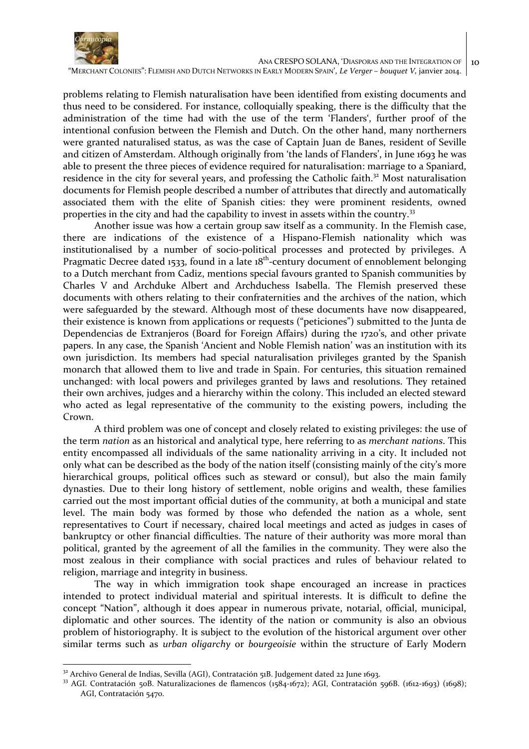

 ANA CRESPO SOLANA, 'DIASPORAS AND THE INTEGRATION OF "MERCHANT COLONIES": FLEMISH AND DUTCH NETWORKS IN EARLY MODERN SPAIN', *Le Verger – bouquet V,* janvier 2014. 10

problems relating to Flemish naturalisation have been identified from existing documents and thus need to be considered. For instance, colloquially speaking, there is the difficulty that the administration of the time had with the use of the term 'Flanders', further proof of the intentional confusion between the Flemish and Dutch. On the other hand, many northerners were granted naturalised status, as was the case of Captain Juan de Banes, resident of Seville and citizen of Amsterdam. Although originally from 'the lands of Flanders', in June 1693 he was able to present the three pieces of evidence required for naturalisation: marriage to a Spaniard, residence in the city for several years, and professing the Catholic faith. $32^2$  Most naturalisation documents for Flemish people described a number of attributes that directly and automatically associated them with the elite of Spanish cities: they were prominent residents, owned properties in the city and had the capability to invest in assets within the country.<sup>33</sup>

Another issue was how a certain group saw itself as a community. In the Flemish case, there are indications of the existence of a Hispano-Flemish nationality which was institutionalised by a number of socio-political processes and protected by privileges. A Pragmatic Decree dated 1533, found in a late  $18<sup>th</sup>$ -century document of ennoblement belonging to a Dutch merchant from Cadiz, mentions special favours granted to Spanish communities by Charles V and Archduke Albert and Archduchess Isabella. The Flemish preserved these documents with others relating to their confraternities and the archives of the nation, which were safeguarded by the steward. Although most of these documents have now disappeared, their existence is known from applications or requests ("peticiones") submitted to the Junta de Dependencias de Extranjeros (Board for Foreign Affairs) during the 1720's, and other private papers. In any case, the Spanish 'Ancient and Noble Flemish nation' was an institution with its own jurisdiction. Its members had special naturalisation privileges granted by the Spanish monarch that allowed them to live and trade in Spain. For centuries, this situation remained unchanged: with local powers and privileges granted by laws and resolutions. They retained their own archives, judges and a hierarchy within the colony. This included an elected steward who acted as legal representative of the community to the existing powers, including the Crown.

A third problem was one of concept and closely related to existing privileges: the use of the term *nation* as an historical and analytical type, here referring to as *merchant nations*. This entity encompassed all individuals of the same nationality arriving in a city. It included not only what can be described as the body of the nation itself (consisting mainly of the city's more hierarchical groups, political offices such as steward or consul), but also the main family dynasties. Due to their long history of settlement, noble origins and wealth, these families carried out the most important official duties of the community, at both a municipal and state level. The main body was formed by those who defended the nation as a whole, sent representatives to Court if necessary, chaired local meetings and acted as judges in cases of bankruptcy or other financial difficulties. The nature of their authority was more moral than political, granted by the agreement of all the families in the community. They were also the most zealous in their compliance with social practices and rules of behaviour related to religion, marriage and integrity in business.

The way in which immigration took shape encouraged an increase in practices intended to protect individual material and spiritual interests. It is difficult to define the concept "Nation", although it does appear in numerous private, notarial, official, municipal, diplomatic and other sources. The identity of the nation or community is also an obvious problem of historiography. It is subject to the evolution of the historical argument over other similar terms such as *urban oligarchy* or *bourgeoisie* within the structure of Early Modern

 $32$  Archivo General de Indias, Sevilla (AGI), Contratación 51B. Judgement dated 22 June 1693.

<sup>33</sup> AGI. Contratación 50B. Naturalizaciones de flamencos (1584-1672); AGI, Contratación 596B. (1612-1693) (1698); AGI, Contratación 5470.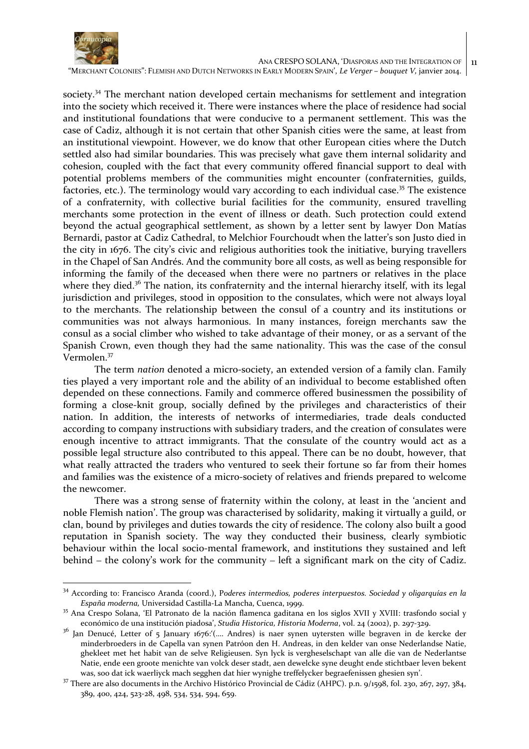

 ANA CRESPO SOLANA, 'DIASPORAS AND THE INTEGRATION OF 11

"MERCHANT COLONIES": FLEMISH AND DUTCH NETWORKS IN EARLY MODERN SPAIN', *Le Verger – bouquet V,* janvier 2014.

society.<sup>34</sup> The merchant nation developed certain mechanisms for settlement and integration into the society which received it. There were instances where the place of residence had social and institutional foundations that were conducive to a permanent settlement. This was the case of Cadiz, although it is not certain that other Spanish cities were the same, at least from an institutional viewpoint. However, we do know that other European cities where the Dutch settled also had similar boundaries. This was precisely what gave them internal solidarity and cohesion, coupled with the fact that every community offered financial support to deal with potential problems members of the communities might encounter (confraternities, guilds, factories, etc.). The terminology would vary according to each individual case.<sup>35</sup> The existence of a confraternity, with collective burial facilities for the community, ensured travelling merchants some protection in the event of illness or death. Such protection could extend beyond the actual geographical settlement, as shown by a letter sent by lawyer Don Matías Bernardi, pastor at Cadiz Cathedral, to Melchior Fourchoudt when the latter's son Justo died in the city in 1676. The city's civic and religious authorities took the initiative, burying travellers in the Chapel of San Andrés. And the community bore all costs, as well as being responsible for informing the family of the deceased when there were no partners or relatives in the place where they died.<sup>36</sup> The nation, its confraternity and the internal hierarchy itself, with its legal jurisdiction and privileges, stood in opposition to the consulates, which were not always loyal to the merchants. The relationship between the consul of a country and its institutions or communities was not always harmonious. In many instances, foreign merchants saw the consul as a social climber who wished to take advantage of their money, or as a servant of the Spanish Crown, even though they had the same nationality. This was the case of the consul Vermolen.<sup>37</sup>

The term *nation* denoted a micro-society, an extended version of a family clan. Family ties played a very important role and the ability of an individual to become established often depended on these connections. Family and commerce offered businessmen the possibility of forming a close-knit group, socially defined by the privileges and characteristics of their nation. In addition, the interests of networks of intermediaries, trade deals conducted according to company instructions with subsidiary traders, and the creation of consulates were enough incentive to attract immigrants. That the consulate of the country would act as a possible legal structure also contributed to this appeal. There can be no doubt, however, that what really attracted the traders who ventured to seek their fortune so far from their homes and families was the existence of a micro-society of relatives and friends prepared to welcome the newcomer.

There was a strong sense of fraternity within the colony, at least in the 'ancient and noble Flemish nation'. The group was characterised by solidarity, making it virtually a guild, or clan, bound by privileges and duties towards the city of residence. The colony also built a good reputation in Spanish society. The way they conducted their business, clearly symbiotic behaviour within the local socio-mental framework, and institutions they sustained and left behind – the colony's work for the community – left a significant mark on the city of Cadiz.

<sup>34</sup> According to: Francisco Aranda (coord.), P*oderes intermedios, poderes interpuestos. Sociedad y oligarquías en la España moderna,* Universidad Castilla-La Mancha, Cuenca, 1999.

<sup>35</sup> Ana Crespo Solana, 'El Patronato de la nación flamenca gaditana en los siglos XVII y XVIII: trasfondo social y económico de una institución piadosa', *Studia Historica, Historia Moderna*, vol. 24 (2002), p. 297-329.

<sup>&</sup>lt;sup>36</sup> Jan Denucé, Letter of 5 January 1676:'(.... Andres) is naer synen uytersten wille begraven in de kercke der minderbroeders in de Capella van synen Patróon den H. Andreas, in den kelder van onse Nederlandse Natie, ghekleet met het habit van de selve Religieusen. Syn lyck is vergheselschapt van alle die van de Nederlantse Natie, ende een groote menichte van volck deser stadt, aen dewelcke syne deught ende stichtbaer leven bekent was, soo dat ick waerliyck mach segghen dat hier wynighe treffelycker begraefenissen ghesien syn'.

<sup>&</sup>lt;sup>37</sup> There are also documents in the Archivo Histórico Provincial de Cádiz (AHPC). p.n. 9/1598, fol. 230, 267, 297, 384, 389, 400, 424, 523-28, 498, 534, 534, 594, 659.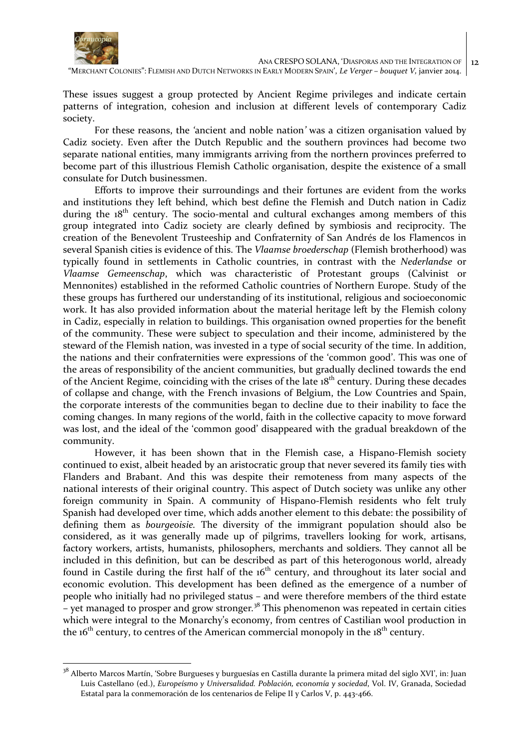

12

"MERCHANT COLONIES": FLEMISH AND DUTCH NETWORKS IN EARLY MODERN SPAIN', *Le Verger – bouquet V,* janvier 2014.

These issues suggest a group protected by Ancient Regime privileges and indicate certain patterns of integration, cohesion and inclusion at different levels of contemporary Cadiz society.

For these reasons, the *'*ancient and noble nation*'* was a citizen organisation valued by Cadiz society. Even after the Dutch Republic and the southern provinces had become two separate national entities, many immigrants arriving from the northern provinces preferred to become part of this illustrious Flemish Catholic organisation, despite the existence of a small consulate for Dutch businessmen.

Efforts to improve their surroundings and their fortunes are evident from the works and institutions they left behind, which best define the Flemish and Dutch nation in Cadiz during the  $18<sup>th</sup>$  century. The socio-mental and cultural exchanges among members of this group integrated into Cadiz society are clearly defined by symbiosis and reciprocity. The creation of the Benevolent Trusteeship and Confraternity of San Andrés de los Flamencos in several Spanish cities is evidence of this. The *Vlaamse broederschap* (Flemish brotherhood) was typically found in settlements in Catholic countries, in contrast with the *Nederlandse* or *Vlaamse Gemeenschap*, which was characteristic of Protestant groups (Calvinist or Mennonites) established in the reformed Catholic countries of Northern Europe. Study of the these groups has furthered our understanding of its institutional, religious and socioeconomic work. It has also provided information about the material heritage left by the Flemish colony in Cadiz, especially in relation to buildings. This organisation owned properties for the benefit of the community. These were subject to speculation and their income, administered by the steward of the Flemish nation, was invested in a type of social security of the time. In addition, the nation*s* and their confraternities were expressions of the 'common good'. This was one of the areas of responsibility of the ancient communities, but gradually declined towards the end of the Ancient Regime, coinciding with the crises of the late  $18<sup>th</sup>$  century. During these decades of collapse and change, with the French invasions of Belgium, the Low Countries and Spain, the corporate interests of the communities began to decline due to their inability to face the coming changes. In many regions of the world, faith in the collective capacity to move forward was lost, and the ideal of the 'common good' disappeared with the gradual breakdown of the community.

However, it has been shown that in the Flemish case, a Hispano-Flemish society continued to exist, albeit headed by an aristocratic group that never severed its family ties with Flanders and Brabant. And this was despite their remoteness from many aspects of the national interests of their original country. This aspect of Dutch society was unlike any other foreign community in Spain. A community of Hispano-Flemish residents who felt truly Spanish had developed over time, which adds another element to this debate: the possibility of defining them as *bourgeoisie.* The diversity of the immigrant population should also be considered, as it was generally made up of pilgrims, travellers looking for work, artisans, factory workers, artists, humanists, philosophers, merchants and soldiers. They cannot all be included in this definition, but can be described as part of this heterogonous world, already found in Castile during the first half of the  $16<sup>th</sup>$  century, and throughout its later social and economic evolution. This development has been defined as the emergence of a number of people who initially had no privileged status – and were therefore members of the third estate – yet managed to prosper and grow stronger*.* <sup>38</sup> This phenomenon was repeated in certain cities which were integral to the Monarchy's economy, from centres of Castilian wool production in the  $16<sup>th</sup>$  century, to centres of the American commercial monopoly in the  $18<sup>th</sup>$  century.

<sup>&</sup>lt;sup>38</sup> Alberto Marcos Martín, 'Sobre Burgueses y burguesías en Castilla durante la primera mitad del siglo XVI', in: Juan Luis Castellano (ed.), *Europeísmo y Universalidad. Población, economía y sociedad*, Vol. IV, Granada, Sociedad Estatal para la conmemoración de los centenarios de Felipe II y Carlos V, p. 443-466.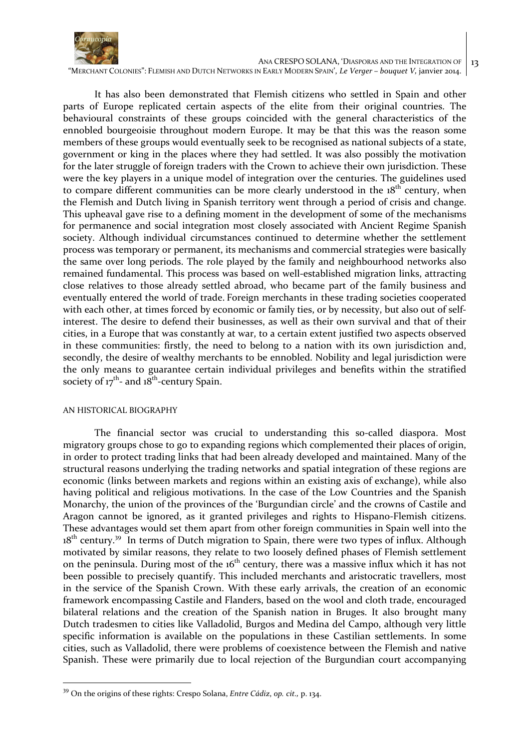

"MERCHANT COLONIES": FLEMISH AND DUTCH NETWORKS IN EARLY MODERN SPAIN', *Le Verger – bouquet V,* janvier 2014.

It has also been demonstrated that Flemish citizens who settled in Spain and other parts of Europe replicated certain aspects of the elite from their original countries. The behavioural constraints of these groups coincided with the general characteristics of the ennobled bourgeoisie throughout modern Europe. It may be that this was the reason some members of these groups would eventually seek to be recognised as national subjects of a state, government or king in the places where they had settled. It was also possibly the motivation for the later struggle of foreign traders with the Crown to achieve their own jurisdiction. These were the key players in a unique model of integration over the centuries. The guidelines used to compare different communities can be more clearly understood in the  $18<sup>th</sup>$  century, when the Flemish and Dutch living in Spanish territory went through a period of crisis and change. This upheaval gave rise to a defining moment in the development of some of the mechanisms for permanence and social integration most closely associated with Ancient Regime Spanish society. Although individual circumstances continued to determine whether the settlement process was temporary or permanent, its mechanisms and commercial strategies were basically the same over long periods. The role played by the family and neighbourhood networks also remained fundamental. This process was based on well-established migration links, attracting close relatives to those already settled abroad, who became part of the family business and eventually entered the world of trade. Foreign merchants in these trading societies cooperated with each other, at times forced by economic or family ties, or by necessity, but also out of selfinterest. The desire to defend their businesses, as well as their own survival and that of their cities, in a Europe that was constantly at war, to a certain extent justified two aspects observed in these communities: firstly, the need to belong to a nation with its own jurisdiction and, secondly, the desire of wealthy merchants to be ennobled. Nobility and legal jurisdiction were the only means to guarantee certain individual privileges and benefits within the stratified society of  $17^{th}$ - and  $18^{th}$ -century Spain.

#### AN HISTORICAL BIOGRAPHY

 $\overline{a}$ 

The financial sector was crucial to understanding this so-called diaspora. Most migratory groups chose to go to expanding regions which complemented their places of origin, in order to protect trading links that had been already developed and maintained. Many of the structural reasons underlying the trading networks and spatial integration of these regions are economic (links between markets and regions within an existing axis of exchange), while also having political and religious motivations. In the case of the Low Countries and the Spanish Monarchy, the union of the provinces of the 'Burgundian circle' and the crowns of Castile and Aragon cannot be ignored, as it granted privileges and rights to Hispano-Flemish citizens. These advantages would set them apart from other foreign communities in Spain well into the  $18<sup>th</sup>$  century.<sup>39</sup> In terms of Dutch migration to Spain, there were two types of influx. Although motivated by similar reasons, they relate to two loosely defined phases of Flemish settlement on the peninsula. During most of the  $16<sup>th</sup>$  century, there was a massive influx which it has not been possible to precisely quantify. This included merchants and aristocratic travellers, most in the service of the Spanish Crown. With these early arrivals, the creation of an economic framework encompassing Castile and Flanders, based on the wool and cloth trade, encouraged bilateral relations and the creation of the Spanish nation in Bruges. It also brought many Dutch tradesmen to cities like Valladolid, Burgos and Medina del Campo, although very little specific information is available on the populations in these Castilian settlements. In some cities, such as Valladolid, there were problems of coexistence between the Flemish and native Spanish. These were primarily due to local rejection of the Burgundian court accompanying

<sup>39</sup> On the origins of these rights: Crespo Solana, *Entre Cádiz*, *op. cit.,* p. 134.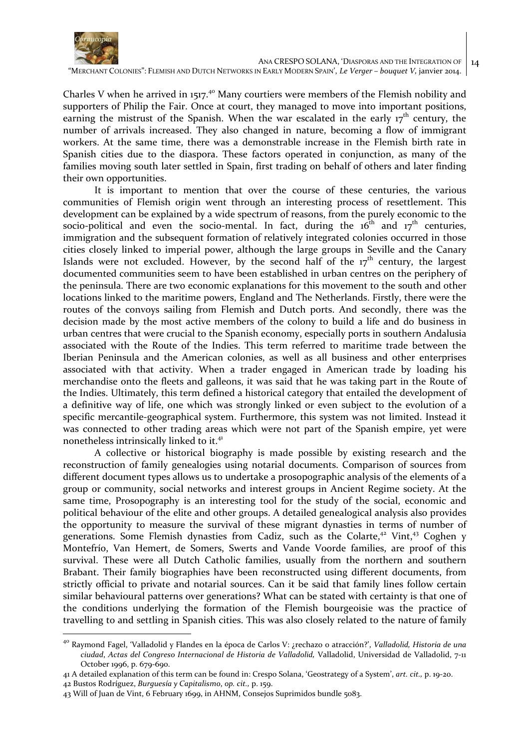

"MERCHANT COLONIES": FLEMISH AND DUTCH NETWORKS IN EARLY MODERN SPAIN', *Le Verger – bouquet V,* janvier 2014.

Charles V when he arrived in 1517.<sup>40</sup> Many courtiers were members of the Flemish nobility and supporters of Philip the Fair. Once at court, they managed to move into important positions, earning the mistrust of the Spanish. When the war escalated in the early  $17<sup>th</sup>$  century, the number of arrivals increased. They also changed in nature, becoming a flow of immigrant workers. At the same time, there was a demonstrable increase in the Flemish birth rate in Spanish cities due to the diaspora. These factors operated in conjunction, as many of the families moving south later settled in Spain, first trading on behalf of others and later finding their own opportunities.

It is important to mention that over the course of these centuries, the various communities of Flemish origin went through an interesting process of resettlement. This development can be explained by a wide spectrum of reasons, from the purely economic to the socio-political and even the socio-mental. In fact, during the  $16<sup>th</sup>$  and  $17<sup>th</sup>$  centuries, immigration and the subsequent formation of relatively integrated colonies occurred in those cities closely linked to imperial power, although the large groups in Seville and the Canary Islands were not excluded. However, by the second half of the  $17<sup>th</sup>$  century, the largest documented communities seem to have been established in urban centres on the periphery of the peninsula. There are two economic explanations for this movement to the south and other locations linked to the maritime powers, England and The Netherlands. Firstly, there were the routes of the convoys sailing from Flemish and Dutch ports. And secondly, there was the decision made by the most active members of the colony to build a life and do business in urban centres that were crucial to the Spanish economy, especially ports in southern Andalusia associated with the Route of the Indies. This term referred to maritime trade between the Iberian Peninsula and the American colonies, as well as all business and other enterprises associated with that activity. When a trader engaged in American trade by loading his merchandise onto the fleets and galleons, it was said that he was taking part in the Route of the Indies. Ultimately, this term defined a historical category that entailed the development of a definitive way of life, one which was strongly linked or even subject to the evolution of a specific mercantile-geographical system. Furthermore, this system was not limited. Instead it was connected to other trading areas which were not part of the Spanish empire, yet were nonetheless intrinsically linked to it.<sup>41</sup>

A collective or historical biography is made possible by existing research and the reconstruction of family genealogies using notarial documents. Comparison of sources from different document types allows us to undertake a prosopographic analysis of the elements of a group or community, social networks and interest groups in Ancient Regime society. At the same time, Prosopography is an interesting tool for the study of the social, economic and political behaviour of the elite and other groups. A detailed genealogical analysis also provides the opportunity to measure the survival of these migrant dynasties in terms of number of generations. Some Flemish dynasties from Cadiz, such as the Colarte,<sup>42</sup> Vint,<sup>43</sup> Coghen y Montefrío, Van Hemert, de Somers, Swerts and Vande Voorde families, are proof of this survival. These were all Dutch Catholic families, usually from the northern and southern Brabant. Their family biographies have been reconstructed using different documents, from strictly official to private and notarial sources. Can it be said that family lines follow certain similar behavioural patterns over generations? What can be stated with certainty is that one of the conditions underlying the formation of the Flemish bourgeoisie was the practice of travelling to and settling in Spanish cities. This was also closely related to the nature of family

<sup>40</sup> Raymond Fagel, 'Valladolid y Flandes en la época de Carlos V: ¿rechazo o atracción?', *Valladolid, Historia de una ciudad*, *Actas del Congreso Internacional de Historia de Valladolid,* Valladolid, Universidad de Valladolid, 7-11 October 1996, p. 679-690.

<sup>41</sup> A detailed explanation of this term can be found in: Crespo Solana, 'Geostrategy of a System', *art. cit.,* p. 19-20.

<sup>42</sup> Bustos Rodríguez, *Burguesía y Capitalismo*, *op. cit.,* p. 159.

<sup>43</sup> Will of Juan de Vint, 6 February 1699, in AHNM, Consejos Suprimidos bundle 5083.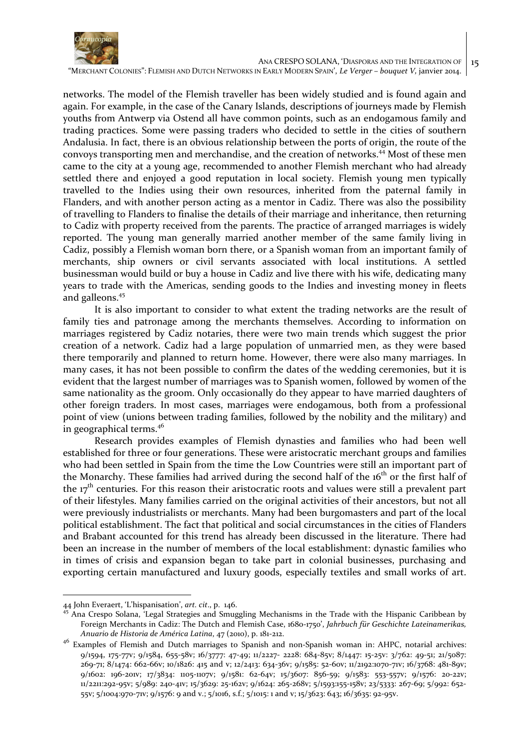

networks. The model of the Flemish traveller has been widely studied and is found again and again. For example, in the case of the Canary Islands, descriptions of journeys made by Flemish youths from Antwerp via Ostend all have common points, such as an endogamous family and trading practices. Some were passing traders who decided to settle in the cities of southern Andalusia. In fact, there is an obvious relationship between the ports of origin, the route of the convoys transporting men and merchandise, and the creation of networks.<sup>44</sup> Most of these men came to the city at a young age, recommended to another Flemish merchant who had already settled there and enjoyed a good reputation in local society. Flemish young men typically travelled to the Indies using their own resources, inherited from the paternal family in Flanders, and with another person acting as a mentor in Cadiz. There was also the possibility of travelling to Flanders to finalise the details of their marriage and inheritance, then returning to Cadiz with property received from the parents. The practice of arranged marriages is widely reported. The young man generally married another member of the same family living in Cadiz, possibly a Flemish woman born there, or a Spanish woman from an important family of merchants, ship owners or civil servants associated with local institutions. A settled businessman would build or buy a house in Cadiz and live there with his wife, dedicating many years to trade with the Americas, sending goods to the Indies and investing money in fleets and galleons.<sup>45</sup>

It is also important to consider to what extent the trading networks are the result of family ties and patronage among the merchants themselves. According to information on marriages registered by Cadiz notaries, there were two main trends which suggest the prior creation of a network. Cadiz had a large population of unmarried men, as they were based there temporarily and planned to return home. However, there were also many marriages. In many cases, it has not been possible to confirm the dates of the wedding ceremonies, but it is evident that the largest number of marriages was to Spanish women, followed by women of the same nationality as the groom. Only occasionally do they appear to have married daughters of other foreign traders. In most cases, marriages were endogamous, both from a professional point of view (unions between trading families, followed by the nobility and the military) and in geographical terms.<sup>46</sup>

Research provides examples of Flemish dynasties and families who had been well established for three or four generations. These were aristocratic merchant groups and families who had been settled in Spain from the time the Low Countries were still an important part of the Monarchy. These families had arrived during the second half of the 16<sup>th</sup> or the first half of the  $17<sup>th</sup>$  centuries. For this reason their aristocratic roots and values were still a prevalent part of their lifestyles. Many families carried on the original activities of their ancestors, but not all were previously industrialists or merchants. Many had been burgomasters and part of the local political establishment. The fact that political and social circumstances in the cities of Flanders and Brabant accounted for this trend has already been discussed in the literature. There had been an increase in the number of members of the local establishment: dynastic families who in times of crisis and expansion began to take part in colonial businesses, purchasing and exporting certain manufactured and luxury goods, especially textiles and small works of art.

<sup>44</sup> John Everaert, 'L'hispanisation', *art. cit*., p. 146.

<sup>45</sup> Ana Crespo Solana, 'Legal Strategies and Smuggling Mechanisms in the Trade with the Hispanic Caribbean by Foreign Merchants in Cadiz: The Dutch and Flemish Case, 1680-1750', *Jahrbuch für Geschichte Lateinamerikas, Anuario de Historia de América Latina*, 47 (2010), p. 181-212.

<sup>&</sup>lt;sup>46</sup> Examples of Flemish and Dutch marriages to Spanish and non-Spanish woman in: AHPC, notarial archives: 9/1594, 175-77v; 9/1584, 655-58v; 16/3777: 47-49; 11/2227- 2228: 684-85v; 8/1447: 15-25v: 3/762: 49-51; 21/5087: 269-71; 8/1474: 662-66v; 10/1826: 415 and v; 12/2413: 634-36v; 9/1585: 52-60v; 11/2192:1070-71v; 16/3768: 481-89v; 9/1602: 196-201v; 17/3834: 1105-1107v; 9/1581: 62-64v; 15/3607: 856-59; 9/1583: 553-557v; 9/1576: 20-22v; 11/2211:292-95v; 5/989: 240-41v; 15/3629: 25-162v; 9/1624: 265-268v; 5/1593:155-158v; 23/5333: 267-69; 5/992: 652- 55v; 5/1004:970-71v; 9/1576: 9 and v.; 5/1016, s.f.; 5/1015: 1 and v; 15/3623: 643; 16/3635: 92-95v.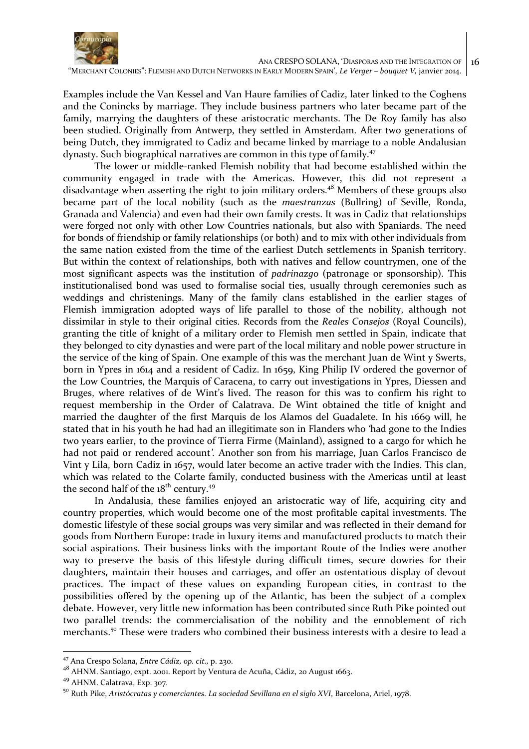

Examples include the Van Kessel and Van Haure families of Cadiz, later linked to the Coghens and the Conincks by marriage. They include business partners who later became part of the family, marrying the daughters of these aristocratic merchants. The De Roy family has also been studied. Originally from Antwerp, they settled in Amsterdam. After two generations of being Dutch, they immigrated to Cadiz and became linked by marriage to a noble Andalusian dynasty. Such biographical narratives are common in this type of family.<sup>47</sup>

The lower or middle-ranked Flemish nobility that had become established within the community engaged in trade with the Americas. However, this did not represent a disadvantage when asserting the right to join military orders.<sup>48</sup> Members of these groups also became part of the local nobility (such as the *maestranzas* (Bullring) of Seville, Ronda, Granada and Valencia) and even had their own family crests. It was in Cadiz that relationships were forged not only with other Low Countries nationals, but also with Spaniards. The need for bonds of friendship or family relationships (or both) and to mix with other individuals from the same nation existed from the time of the earliest Dutch settlements in Spanish territory. But within the context of relationships, both with natives and fellow countrymen, one of the most significant aspects was the institution of *padrinazgo* (patronage or sponsorship). This institutionalised bond was used to formalise social ties, usually through ceremonies such as weddings and christenings. Many of the family clans established in the earlier stages of Flemish immigration adopted ways of life parallel to those of the nobility, although not dissimilar in style to their original cities. Records from the *Reales Consejos* (Royal Councils), granting the title of knight of a military order to Flemish men settled in Spain, indicate that they belonged to city dynasties and were part of the local military and noble power structure in the service of the king of Spain. One example of this was the merchant Juan de Wint y Swerts, born in Ypres in 1614 and a resident of Cadiz. In 1659, King Philip IV ordered the governor of the Low Countries, the Marquis of Caracena, to carry out investigations in Ypres, Diessen and Bruges, where relatives of de Wint's lived. The reason for this was to confirm his right to request membership in the Order of Calatrava. De Wint obtained the title of knight and married the daughter of the first Marquis de los Alamos del Guadalete. In his 1669 will, he stated that in his youth he had had an illegitimate son in Flanders who *'*had gone to the Indies two years earlier, to the province of Tierra Firme (Mainland), assigned to a cargo for which he had not paid or rendered account*'.* Another son from his marriage, Juan Carlos Francisco de Vint y Lila, born Cadiz in 1657, would later become an active trader with the Indies. This clan, which was related to the Colarte family, conducted business with the Americas until at least the second half of the  $18^{th}$  century.<sup>49</sup>

In Andalusia, these families enjoyed an aristocratic way of life, acquiring city and country properties, which would become one of the most profitable capital investments. The domestic lifestyle of these social groups was very similar and was reflected in their demand for goods from Northern Europe: trade in luxury items and manufactured products to match their social aspirations. Their business links with the important Route of the Indies were another way to preserve the basis of this lifestyle during difficult times, secure dowries for their daughters, maintain their houses and carriages, and offer an ostentatious display of devout practices. The impact of these values on expanding European cities, in contrast to the possibilities offered by the opening up of the Atlantic, has been the subject of a complex debate. However, very little new information has been contributed since Ruth Pike pointed out two parallel trends: the commercialisation of the nobility and the ennoblement of rich merchants.<sup>50</sup> These were traders who combined their business interests with a desire to lead a

<sup>47</sup> Ana Crespo Solana, *Entre Cádiz, op. cit.,* p. 230.

<sup>48</sup> AHNM. Santiago, expt. 2001. Report by Ventura de Acuña, Cádiz, 20 August 1663.

<sup>49</sup> AHNM. Calatrava, Exp. 307.

<sup>50</sup> Ruth Pike, *Aristócratas y comerciantes. La sociedad Sevillana en el siglo XVI*, Barcelona, Ariel, 1978.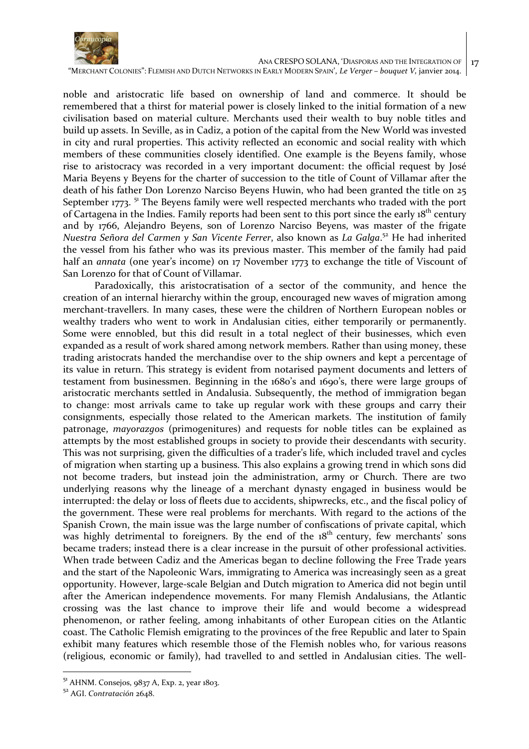

"MERCHANT COLONIES": FLEMISH AND DUTCH NETWORKS IN EARLY MODERN SPAIN', *Le Verger – bouquet V,* janvier 2014.

noble and aristocratic life based on ownership of land and commerce. It should be remembered that a thirst for material power is closely linked to the initial formation of a new civilisation based on material culture. Merchants used their wealth to buy noble titles and build up assets. In Seville, as in Cadiz, a potion of the capital from the New World was invested in city and rural properties. This activity reflected an economic and social reality with which members of these communities closely identified. One example is the Beyens family, whose rise to aristocracy was recorded in a very important document: the official request by José Maria Beyens y Beyens for the charter of succession to the title of Count of Villamar after the death of his father Don Lorenzo Narciso Beyens Huwin, who had been granted the title on 25 September 1773.  $51$  The Beyens family were well respected merchants who traded with the port of Cartagena in the Indies. Family reports had been sent to this port since the early 18<sup>th</sup> century and by 1766, Alejandro Beyens, son of Lorenzo Narciso Beyens, was master of the frigate *Nuestra Señora del Carmen y San Vicente Ferrer*, also known as *La Galga*. <sup>52</sup> He had inherited the vessel from his father who was its previous master. This member of the family had paid half an *annata* (one year's income) on 17 November 1773 to exchange the title of Viscount of San Lorenzo for that of Count of Villamar.

Paradoxically, this aristocratisation of a sector of the community, and hence the creation of an internal hierarchy within the group, encouraged new waves of migration among merchant-travellers. In many cases, these were the children of Northern European nobles or wealthy traders who went to work in Andalusian cities, either temporarily or permanently. Some were ennobled, but this did result in a total neglect of their businesses, which even expanded as a result of work shared among network members. Rather than using money, these trading aristocrats handed the merchandise over to the ship owners and kept a percentage of its value in return. This strategy is evident from notarised payment documents and letters of testament from businessmen. Beginning in the 1680's and 1690's, there were large groups of aristocratic merchants settled in Andalusia. Subsequently, the method of immigration began to change: most arrivals came to take up regular work with these groups and carry their consignments, especially those related to the American markets. The institution of family patronage, *mayorazgos* (primogenitures) and requests for noble titles can be explained as attempts by the most established groups in society to provide their descendants with security. This was not surprising, given the difficulties of a trader's life, which included travel and cycles of migration when starting up a business. This also explains a growing trend in which sons did not become traders, but instead join the administration, army or Church. There are two underlying reasons why the lineage of a merchant dynasty engaged in business would be interrupted: the delay or loss of fleets due to accidents, shipwrecks, etc., and the fiscal policy of the government. These were real problems for merchants. With regard to the actions of the Spanish Crown, the main issue was the large number of confiscations of private capital, which was highly detrimental to foreigners. By the end of the 18<sup>th</sup> century, few merchants' sons became traders; instead there is a clear increase in the pursuit of other professional activities. When trade between Cadiz and the Americas began to decline following the Free Trade years and the start of the Napoleonic Wars, immigrating to America was increasingly seen as a great opportunity. However, large-scale Belgian and Dutch migration to America did not begin until after the American independence movements. For many Flemish Andalusians, the Atlantic crossing was the last chance to improve their life and would become a widespread phenomenon, or rather feeling, among inhabitants of other European cities on the Atlantic coast. The Catholic Flemish emigrating to the provinces of the free Republic and later to Spain exhibit many features which resemble those of the Flemish nobles who, for various reasons (religious, economic or family), had travelled to and settled in Andalusian cities. The well-

 $51$  AHNM. Consejos, 9837 A, Exp. 2, year 1803.

<sup>52</sup> AGI. *Contratación* 2648.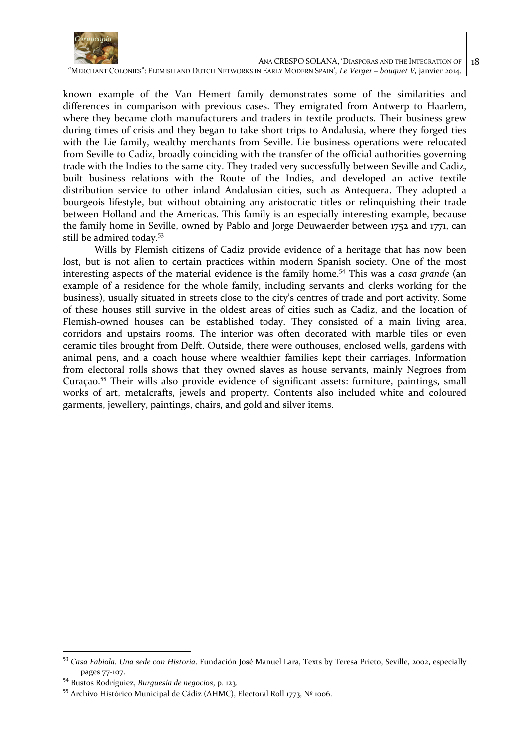

known example of the Van Hemert family demonstrates some of the similarities and differences in comparison with previous cases. They emigrated from Antwerp to Haarlem, where they became cloth manufacturers and traders in textile products. Their business grew during times of crisis and they began to take short trips to Andalusia, where they forged ties with the Lie family, wealthy merchants from Seville. Lie business operations were relocated from Seville to Cadiz, broadly coinciding with the transfer of the official authorities governing trade with the Indies to the same city. They traded very successfully between Seville and Cadiz, built business relations with the Route of the Indies, and developed an active textile distribution service to other inland Andalusian cities, such as Antequera. They adopted a bourgeois lifestyle, but without obtaining any aristocratic titles or relinquishing their trade between Holland and the Americas. This family is an especially interesting example, because the family home in Seville, owned by Pablo and Jorge Deuwaerder between 1752 and 1771, can still be admired today.<sup>53</sup>

Wills by Flemish citizens of Cadiz provide evidence of a heritage that has now been lost, but is not alien to certain practices within modern Spanish society. One of the most interesting aspects of the material evidence is the family home.<sup>54</sup> This was a *casa grande* (an example of a residence for the whole family, including servants and clerks working for the business), usually situated in streets close to the city's centres of trade and port activity. Some of these houses still survive in the oldest areas of cities such as Cadiz, and the location of Flemish-owned houses can be established today. They consisted of a main living area, corridors and upstairs rooms. The interior was often decorated with marble tiles or even ceramic tiles brought from Delft. Outside, there were outhouses, enclosed wells, gardens with animal pens, and a coach house where wealthier families kept their carriages. Information from electoral rolls shows that they owned slaves as house servants, mainly Negroes from Curaçao.<sup>55</sup> Their wills also provide evidence of significant assets: furniture, paintings, small works of art, metalcrafts, jewels and property. Contents also included white and coloured garments, jewellery, paintings, chairs, and gold and silver items.

<sup>53</sup> *Casa Fabiola. Una sede con Historia*. Fundación José Manuel Lara, Texts by Teresa Prieto, Seville, 2002, especially pages 77-107.

<sup>54</sup> Bustos Rodríguiez, *Burguesía de negocios*, p. 123.

<sup>55</sup> Archivo Histórico Municipal de Cádiz (AHMC), Electoral Roll 1773, Nº 1006.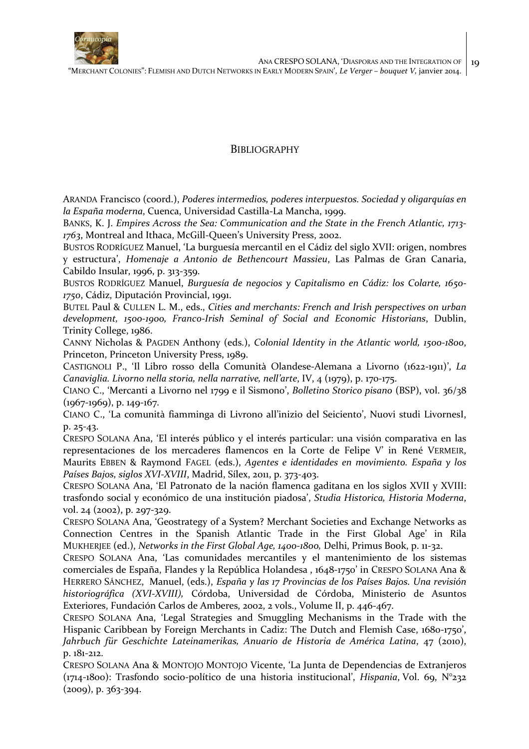

## **BIBLIOGRAPHY**

ARANDA Francisco (coord.), *Poderes intermedios, poderes interpuestos. Sociedad y oligarquías en la España moderna*, Cuenca, Universidad Castilla-La Mancha, 1999.

BANKS, K. J. *Empires Across the Sea: Communication and the State in the French Atlantic, 1713- 1763*, Montreal and Ithaca, McGill-Queen's University Press, 2002.

BUSTOS RODRÍGUEZ Manuel, 'La burguesía mercantil en el Cádiz del siglo XVII: origen, nombres y estructura', *Homenaje a Antonio de Bethencourt Massieu*, Las Palmas de Gran Canaria, Cabildo Insular, 1996, p. 313-359.

BUSTOS RODRÍGUEZ Manuel, *Burguesía de negocios y Capitalismo en Cádiz: los Colarte, 1650- 1750*, Cádiz, Diputación Provincial, 1991.

BUTEL Paul & CULLEN L. M., eds., *Cities and merchants: French and Irish perspectives on urban development, 1500-1900, Franco-Irish Seminal of Social and Economic Historians*, Dublin, Trinity College, 1986.

CANNY Nicholas & PAGDEN Anthony (eds.), *Colonial Identity in the Atlantic world, 1500-1800*, Princeton, Princeton University Press, 1989.

CASTIGNOLI P., 'Il Libro rosso della Comunità Olandese-Alemana a Livorno (1622-1911)', *La Canaviglia. Livorno nella storia, nella narrative, nell'arte*, IV, 4 (1979), p. 170-175.

CIANO C., 'Mercanti a Livorno nel 1799 e il Sismono', *Bolletino Storico pisano* (BSP), vol. 36/38 (1967-1969), p. 149-167.

CIANO C., 'La comunità fiamminga di Livrono all'inizio del Seiciento', Nuovi studi LivornesI, p. 25-43.

CRESPO SOLANA Ana, 'El interés público y el interés particular: una visión comparativa en las representaciones de los mercaderes flamencos en la Corte de Felipe V' in René VERMEIR, Maurits EBBEN & Raymond FAGEL (eds.), *Agentes e identidades en movimiento. España y los Países Bajos, siglos XVI-XVIII*, Madrid, Sílex, 2011, p. 373-403.

CRESPO SOLANA Ana, 'El Patronato de la nación flamenca gaditana en los siglos XVII y XVIII: trasfondo social y económico de una institución piadosa', *Studia Historica, Historia Moderna*, vol. 24 (2002), p. 297-329.

CRESPO SOLANA Ana, 'Geostrategy of a System? Merchant Societies and Exchange Networks as Connection Centres in the Spanish Atlantic Trade in the First Global Age' in Rila MUKHERJEE (ed.), *Networks in the First Global Age, 1400-1800,* Delhi, Primus Book, p. 11-32.

CRESPO SOLANA Ana, 'Las comunidades mercantiles y el mantenimiento de los sistemas comerciales de España, Flandes y la República Holandesa , 1648-1750' in CRESPO SOLANA Ana & HERRERO SÁNCHEZ, Manuel, (eds.), *España y las 17 Provincias de los Países Bajos. Una revisión historiográfica (XVI-XVIII),* Córdoba, Universidad de Córdoba, Ministerio de Asuntos Exteriores, Fundación Carlos de Amberes, 2002, 2 vols., Volume II, p. 446-467.

CRESPO SOLANA Ana, 'Legal Strategies and Smuggling Mechanisms in the Trade with the Hispanic Caribbean by Foreign Merchants in Cadiz: The Dutch and Flemish Case, 1680-1750', *Jahrbuch für Geschichte Lateinamerikas, Anuario de Historia de América Latina*, 47 (2010), p. 181-212.

CRESPO SOLANA Ana & MONTOJO MONTOJO Vicente, 'La Junta de Dependencias de Extranjeros (1714-1800): Trasfondo socio-político de una historia institucional', *Hispania*, Vol. 69, N°232  $(2009)$ , p. 363-394.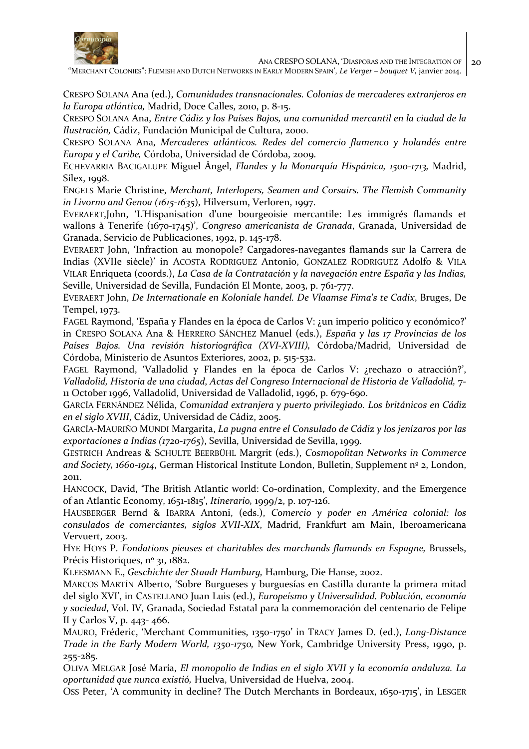

"MERCHANT COLONIES": FLEMISH AND DUTCH NETWORKS IN EARLY MODERN SPAIN', *Le Verger – bouquet V,* janvier 2014.

CRESPO SOLANA Ana (ed.), *Comunidades transnacionales. Colonias de mercaderes extranjeros en la Europa atlántica,* Madrid, Doce Calles, 2010, p. 8-15.

CRESPO SOLANA Ana, *Entre Cádiz y los Países Bajos, una comunidad mercantil en la ciudad de la Ilustración,* Cádiz, Fundación Municipal de Cultura, 2000.

CRESPO SOLANA Ana, *Mercaderes atlánticos. Redes del comercio flamenco y holandés entre Europa y el Caribe,* Córdoba, Universidad de Córdoba, 2009.

ECHEVARRIA BACIGALUPE Miguel Ángel, *Flandes y la Monarquía Hispánica, 1500-1713,* Madrid, Sílex, 1998.

ENGELS Marie Christine, *Merchant, Interlopers, Seamen and Corsairs. The Flemish Community in Livorno and Genoa (1615-1635*), Hilversum, Verloren, 1997.

EVERAERT,John, 'L'Hispanisation d'une bourgeoisie mercantile: Les immigrés flamands et wallons à Tenerife (1670-1745)', *Congreso americanista de Granada*, Granada, Universidad de Granada, Servicio de Publicaciones, 1992, p. 145-178.

EVERAERT John, 'Infraction au monopole? Cargadores-navegantes flamands sur la Carrera de Indias (XVIIe siècle)' in ACOSTA RODRIGUEZ Antonio, GONZALEZ RODRIGUEZ Adolfo & VILA VILAR Enriqueta (coords.), *La Casa de la Contratación y la navegación entre España y las Indias,* Seville, Universidad de Sevilla, Fundación El Monte, 2003, p. 761-777.

EVERAERT John, *De Internationale en Koloniale handel. De Vlaamse Fima's te Cadix*, Bruges, De Tempel, 1973.

FAGEL Raymond, 'España y Flandes en la época de Carlos V: ¿un imperio político y económico?' in CRESPO SOLANA Ana & HERRERO SÁNCHEZ Manuel (eds.), *España y las 17 Provincias de los*  Países Bajos. Una revisión historiográfica (XVI-XVIII), Córdoba/Madrid, Universidad de Córdoba, Ministerio de Asuntos Exteriores, 2002, p. 515-532.

FAGEL Raymond, 'Valladolid y Flandes en la época de Carlos V: ¿rechazo o atracción?', *Valladolid, Historia de una ciudad*, *Actas del Congreso Internacional de Historia de Valladolid,* 7- 11 October 1996, Valladolid, Universidad de Valladolid, 1996, p. 679-690.

GARCÍA FERNÁNDEZ Nélida, *Comunidad extranjera y puerto privilegiado. Los británicos en Cádiz en el siglo XVIII*, Cádiz, Universidad de Cádiz, 2005.

GARCÍA-MAURIÑO MUNDI Margarita, *La pugna entre el Consulado de Cádiz y los jenízaros por las exportaciones a Indias (1720-1765*), Sevilla, Universidad de Sevilla, 1999.

GESTRICH Andreas & SCHULTE BEERBÜHL Margrit (eds.), *Cosmopolitan Networks in Commerce and Society, 1660-1914*, German Historical Institute London, Bulletin, Supplement nº 2, London, 2011.

HANCOCK, David, 'The British Atlantic world: Co-ordination, Complexity, and the Emergence of an Atlantic Economy, 1651-1815', *Itinerario,* 1999/2, p. 107-126.

HAUSBERGER Bernd & IBARRA Antoni, (eds.), *Comercio y poder en América colonial: los consulados de comerciantes, siglos XVII-XIX*, Madrid, Frankfurt am Main, Iberoamericana Vervuert, 2003.

HYE HOYS P. *Fondations pieuses et charitables des marchands flamands en Espagne,* Brussels, Précis Historiques, nº 31, 1882.

KLEESMANN E., *Geschichte der Staadt Hamburg,* Hamburg, Die Hanse, 2002.

MARCOS MARTÍN Alberto, 'Sobre Burgueses y burguesías en Castilla durante la primera mitad del siglo XVI', in CASTELLANO Juan Luis (ed.), *Europeísmo y Universalidad. Población, economía y sociedad*, Vol. IV, Granada, Sociedad Estatal para la conmemoración del centenario de Felipe II y Carlos V, p. 443- 466.

MAURO, Fréderic, 'Merchant Communities, 1350-1750' in TRACY James D. (ed.), *Long-Distance Trade in the Early Modern World, 1350-1750,* New York, Cambridge University Press, 1990, p. 255-285.

OLIVA MELGAR José María, *El monopolio de Indias en el siglo XVII y la economía andaluza. La oportunidad que nunca existió,* Huelva, Universidad de Huelva, 2004.

OSS Peter, 'A community in decline? The Dutch Merchants in Bordeaux, 1650-1715', in LESGER